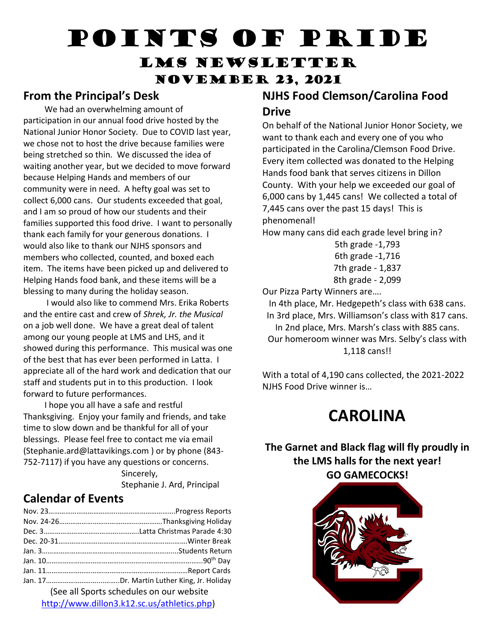# Points of Pride

### LMS Newsletter November 23, 2021

#### **From the Principal's Desk**

 We had an overwhelming amount of participation in our annual food drive hosted by the National Junior Honor Society. Due to COVID last year, we chose not to host the drive because families were being stretched so thin. We discussed the idea of waiting another year, but we decided to move forward because Helping Hands and members of our community were in need. A hefty goal was set to collect 6,000 cans. Our students exceeded that goal, and I am so proud of how our students and their families supported this food drive. I want to personally thank each family for your generous donations. I would also like to thank our NJHS sponsors and members who collected, counted, and boxed each item. The items have been picked up and delivered to Helping Hands food bank, and these items will be a blessing to many during the holiday season.

 I would also like to commend Mrs. Erika Roberts and the entire cast and crew of *Shrek, Jr. the Musical* on a job well done. We have a great deal of talent among our young people at LMS and LHS, and it showed during this performance. This musical was one of the best that has ever been performed in Latta. I appreciate all of the hard work and dedication that our staff and students put in to this production. I look forward to future performances.

 I hope you all have a safe and restful Thanksgiving. Enjoy your family and friends, and take time to slow down and be thankful for all of your blessings. Please feel free to contact me via email (Stephanie.ard@lattavikings.com ) or by phone (843- 752-7117) if you have any questions or concerns.

> Sincerely, Stephanie J. Ard, Principal

#### **Calendar of Events**

| (See all Sports schedules on our website |  |
|------------------------------------------|--|

[http://www.dillon3.k12.sc.us/athletics.php\)](http://www.dillon3.k12.sc.us/athletics.php)

#### **NJHS Food Clemson/Carolina Food Drive**

On behalf of the National Junior Honor Society, we want to thank each and every one of you who participated in the Carolina/Clemson Food Drive. Every item collected was donated to the Helping Hands food bank that serves citizens in Dillon County. With your help we exceeded our goal of 6,000 cans by 1,445 cans! We collected a total of 7,445 cans over the past 15 days! This is phenomenal!

How many cans did each grade level bring in?

5th grade -1,793 6th grade -1,716 7th grade - 1,837 8th grade - 2,099

Our Pizza Party Winners are….

In 4th place, Mr. Hedgepeth's class with 638 cans. In 3rd place, Mrs. Williamson's class with 817 cans. In 2nd place, Mrs. Marsh's class with 885 cans. Our homeroom winner was Mrs. Selby's class with 1,118 cans!!

With a total of 4,190 cans collected, the 2021-2022 NJHS Food Drive winner is…

## **CAROLINA**

#### **The Garnet and Black flag will fly proudly in the LMS halls for the next year! GO GAMECOCKS!**